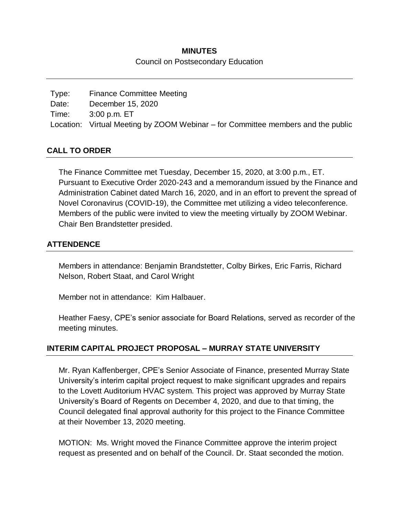#### **MINUTES**

#### Council on Postsecondary Education

| Type: | <b>Finance Committee Meeting</b>                                                 |
|-------|----------------------------------------------------------------------------------|
| Date: | December 15, 2020                                                                |
| Time: | 3:00 p.m. ET                                                                     |
|       | Location: Virtual Meeting by ZOOM Webinar – for Committee members and the public |

### **CALL TO ORDER**

The Finance Committee met Tuesday, December 15, 2020, at 3:00 p.m., ET. Pursuant to Executive Order 2020-243 and a memorandum issued by the Finance and Administration Cabinet dated March 16, 2020, and in an effort to prevent the spread of Novel Coronavirus (COVID-19), the Committee met utilizing a video teleconference. Members of the public were invited to view the meeting virtually by ZOOM Webinar. Chair Ben Brandstetter presided.

#### **ATTENDENCE**

Members in attendance: Benjamin Brandstetter, Colby Birkes, Eric Farris, Richard Nelson, Robert Staat, and Carol Wright

Member not in attendance: Kim Halbauer.

Heather Faesy, CPE's senior associate for Board Relations, served as recorder of the meeting minutes.

### **INTERIM CAPITAL PROJECT PROPOSAL – MURRAY STATE UNIVERSITY**

Mr. Ryan Kaffenberger, CPE's Senior Associate of Finance, presented Murray State University's interim capital project request to make significant upgrades and repairs to the Lovett Auditorium HVAC system. This project was approved by Murray State University's Board of Regents on December 4, 2020, and due to that timing, the Council delegated final approval authority for this project to the Finance Committee at their November 13, 2020 meeting.

MOTION: Ms. Wright moved the Finance Committee approve the interim project request as presented and on behalf of the Council. Dr. Staat seconded the motion.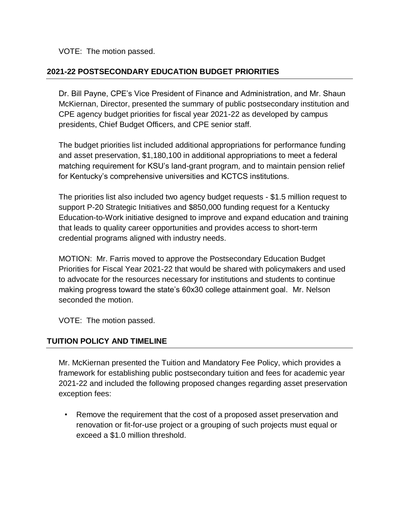VOTE: The motion passed.

## **2021-22 POSTSECONDARY EDUCATION BUDGET PRIORITIES**

Dr. Bill Payne, CPE's Vice President of Finance and Administration, and Mr. Shaun McKiernan, Director, presented the summary of public postsecondary institution and CPE agency budget priorities for fiscal year 2021-22 as developed by campus presidents, Chief Budget Officers, and CPE senior staff.

The budget priorities list included additional appropriations for performance funding and asset preservation, \$1,180,100 in additional appropriations to meet a federal matching requirement for KSU's land-grant program, and to maintain pension relief for Kentucky's comprehensive universities and KCTCS institutions.

The priorities list also included two agency budget requests - \$1.5 million request to support P-20 Strategic Initiatives and \$850,000 funding request for a Kentucky Education-to-Work initiative designed to improve and expand education and training that leads to quality career opportunities and provides access to short-term credential programs aligned with industry needs.

MOTION: Mr. Farris moved to approve the Postsecondary Education Budget Priorities for Fiscal Year 2021-22 that would be shared with policymakers and used to advocate for the resources necessary for institutions and students to continue making progress toward the state's 60x30 college attainment goal. Mr. Nelson seconded the motion.

VOTE: The motion passed.

### **TUITION POLICY AND TIMELINE**

Mr. McKiernan presented the Tuition and Mandatory Fee Policy, which provides a framework for establishing public postsecondary tuition and fees for academic year 2021-22 and included the following proposed changes regarding asset preservation exception fees:

• Remove the requirement that the cost of a proposed asset preservation and renovation or fit-for-use project or a grouping of such projects must equal or exceed a \$1.0 million threshold.